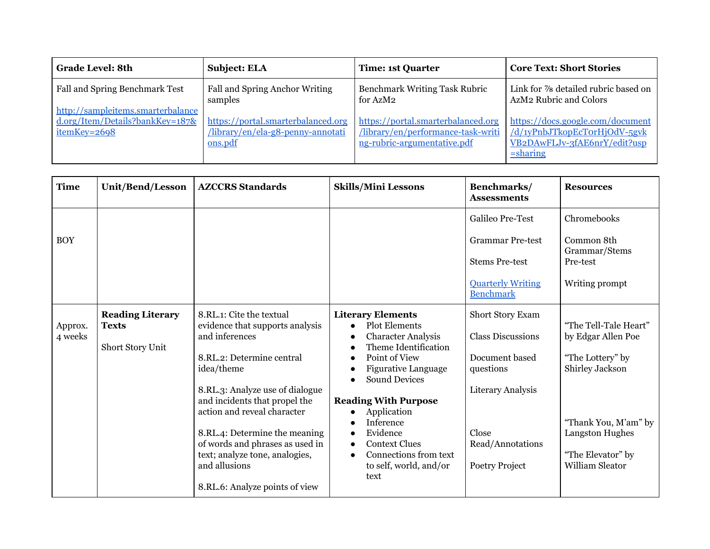| <b>Grade Level: 8th</b>                                                                 | <b>Subject: ELA</b>                                                                | <b>Time: 1st Quarter</b>                                                                                | <b>Core Text: Short Stories</b>                                                                                               |
|-----------------------------------------------------------------------------------------|------------------------------------------------------------------------------------|---------------------------------------------------------------------------------------------------------|-------------------------------------------------------------------------------------------------------------------------------|
| Fall and Spring Benchmark Test                                                          | Fall and Spring Anchor Writing<br>samples                                          | <b>Benchmark Writing Task Rubric</b><br>for AzM2                                                        | Link for 7/8 detailed rubric based on<br>AzM2 Rubric and Colors                                                               |
| http://sampleitems.smarterbalance<br>$d.org/Item/Details?bankKey=187$ &<br>itemKey=2698 | https://portal.smarterbalanced.org<br>/library/en/ela-g8-penny-annotati<br>ons.pdf | https://portal.smarterbalanced.org<br>/library/en/performance-task-writi<br>ng-rubric-argumentative.pdf | https://docs.google.com/document<br>$\frac{d}{v}$ /d/1yPnbJTkopEcTorHjOdV-5gvk<br>VB2DAwFLJv-3fAE6nrY/edit?usp<br>$=$ sharing |

| <b>Time</b>        | Unit/Bend/Lesson                                            | <b>AZCCRS</b> Standards                                                                                    | <b>Skills/Mini Lessons</b>                                                                                                          | Benchmarks/<br><b>Assessments</b>                              | <b>Resources</b>                                                |
|--------------------|-------------------------------------------------------------|------------------------------------------------------------------------------------------------------------|-------------------------------------------------------------------------------------------------------------------------------------|----------------------------------------------------------------|-----------------------------------------------------------------|
|                    |                                                             |                                                                                                            |                                                                                                                                     | Galileo Pre-Test                                               | Chromebooks                                                     |
| <b>BOY</b>         |                                                             |                                                                                                            |                                                                                                                                     | <b>Grammar Pre-test</b><br><b>Stems Pre-test</b>               | Common 8th<br>Grammar/Stems<br>Pre-test                         |
|                    |                                                             |                                                                                                            |                                                                                                                                     |                                                                |                                                                 |
|                    |                                                             |                                                                                                            |                                                                                                                                     | <b>Quarterly Writing</b><br><b>Benchmark</b>                   | Writing prompt                                                  |
| Approx.<br>4 weeks | <b>Reading Literary</b><br><b>Texts</b><br>Short Story Unit | 8.RL.1: Cite the textual<br>evidence that supports analysis<br>and inferences<br>8.RL.2: Determine central | <b>Literary Elements</b><br><b>Plot Elements</b><br>$\bullet$<br><b>Character Analysis</b><br>Theme Identification<br>Point of View | Short Story Exam<br><b>Class Discussions</b><br>Document based | "The Tell-Tale Heart"<br>by Edgar Allen Poe<br>"The Lottery" by |
|                    |                                                             | idea/theme                                                                                                 | <b>Figurative Language</b><br><b>Sound Devices</b>                                                                                  | questions                                                      | Shirley Jackson                                                 |
|                    |                                                             | 8.RL.3: Analyze use of dialogue<br>and incidents that propel the                                           | <b>Reading With Purpose</b>                                                                                                         | <b>Literary Analysis</b>                                       |                                                                 |
|                    |                                                             | action and reveal character                                                                                | Application                                                                                                                         |                                                                |                                                                 |
|                    |                                                             |                                                                                                            | Inference                                                                                                                           |                                                                | "Thank You, M'am" by                                            |
|                    |                                                             | 8.RL.4: Determine the meaning<br>of words and phrases as used in                                           | Evidence<br>$\bullet$<br><b>Context Clues</b><br>$\bullet$                                                                          | Close<br>Read/Annotations                                      | Langston Hughes                                                 |
|                    |                                                             | text; analyze tone, analogies,                                                                             | Connections from text                                                                                                               |                                                                | "The Elevator" by                                               |
|                    |                                                             | and allusions                                                                                              | to self, world, and/or<br>text                                                                                                      | Poetry Project                                                 | <b>William Sleator</b>                                          |
|                    |                                                             | 8.RL.6: Analyze points of view                                                                             |                                                                                                                                     |                                                                |                                                                 |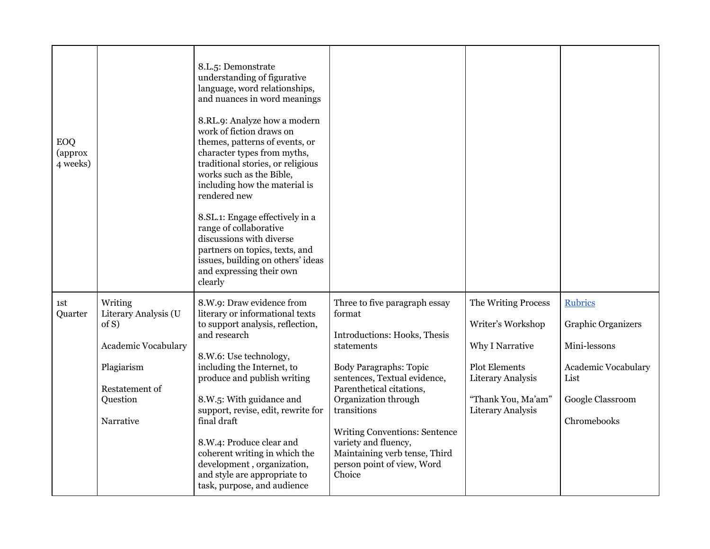| EOQ<br>(approx<br>4 weeks) |                                                                                                                                 | 8.L.5: Demonstrate<br>understanding of figurative<br>language, word relationships,<br>and nuances in word meanings<br>8.RL.9: Analyze how a modern<br>work of fiction draws on<br>themes, patterns of events, or<br>character types from myths,<br>traditional stories, or religious<br>works such as the Bible,<br>including how the material is<br>rendered new<br>8.SL.1: Engage effectively in a<br>range of collaborative<br>discussions with diverse<br>partners on topics, texts, and<br>issues, building on others' ideas<br>and expressing their own<br>clearly |                                                                                                                                                                                                                                                                                                                                                                    |                                                                                                                                                            |                                                                                                                               |
|----------------------------|---------------------------------------------------------------------------------------------------------------------------------|--------------------------------------------------------------------------------------------------------------------------------------------------------------------------------------------------------------------------------------------------------------------------------------------------------------------------------------------------------------------------------------------------------------------------------------------------------------------------------------------------------------------------------------------------------------------------|--------------------------------------------------------------------------------------------------------------------------------------------------------------------------------------------------------------------------------------------------------------------------------------------------------------------------------------------------------------------|------------------------------------------------------------------------------------------------------------------------------------------------------------|-------------------------------------------------------------------------------------------------------------------------------|
| 1st<br>Quarter             | Writing<br>Literary Analysis (U<br>of S)<br><b>Academic Vocabulary</b><br>Plagiarism<br>Restatement of<br>Question<br>Narrative | 8.W.9: Draw evidence from<br>literary or informational texts<br>to support analysis, reflection,<br>and research<br>8.W.6: Use technology,<br>including the Internet, to<br>produce and publish writing<br>8.W.5: With guidance and<br>support, revise, edit, rewrite for<br>final draft<br>8.W.4: Produce clear and<br>coherent writing in which the<br>development, organization,<br>and style are appropriate to<br>task, purpose, and audience                                                                                                                       | Three to five paragraph essay<br>format<br>Introductions: Hooks, Thesis<br>statements<br><b>Body Paragraphs: Topic</b><br>sentences, Textual evidence,<br>Parenthetical citations,<br>Organization through<br>transitions<br><b>Writing Conventions: Sentence</b><br>variety and fluency,<br>Maintaining verb tense, Third<br>person point of view, Word<br>Choice | The Writing Process<br>Writer's Workshop<br>Why I Narrative<br><b>Plot Elements</b><br>Literary Analysis<br>"Thank You, Ma'am"<br><b>Literary Analysis</b> | <b>Rubrics</b><br><b>Graphic Organizers</b><br>Mini-lessons<br>Academic Vocabulary<br>List<br>Google Classroom<br>Chromebooks |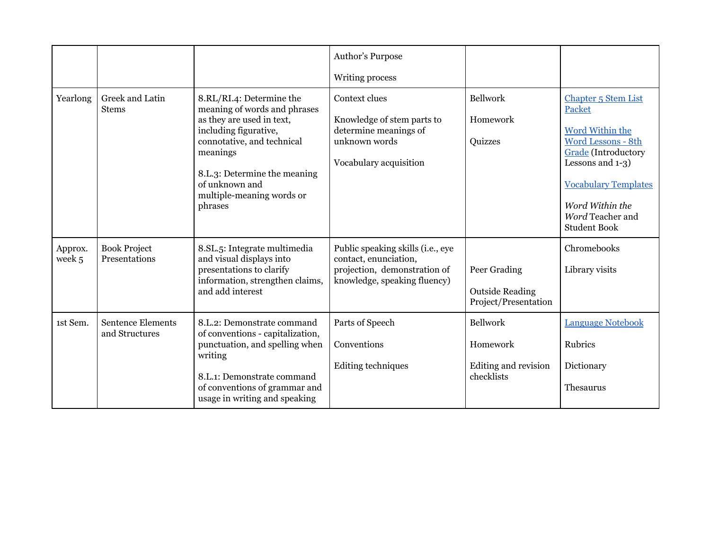|                   |                                            |                                                                                                                                                                                                                                                    | Author's Purpose<br>Writing process                                                                                        |                                                                |                                                                                                                                                                                                                |
|-------------------|--------------------------------------------|----------------------------------------------------------------------------------------------------------------------------------------------------------------------------------------------------------------------------------------------------|----------------------------------------------------------------------------------------------------------------------------|----------------------------------------------------------------|----------------------------------------------------------------------------------------------------------------------------------------------------------------------------------------------------------------|
| Yearlong          | Greek and Latin<br><b>Stems</b>            | 8.RL/RI.4: Determine the<br>meaning of words and phrases<br>as they are used in text,<br>including figurative,<br>connotative, and technical<br>meanings<br>8.L.3: Determine the meaning<br>of unknown and<br>multiple-meaning words or<br>phrases | Context clues<br>Knowledge of stem parts to<br>determine meanings of<br>unknown words<br>Vocabulary acquisition            | <b>Bellwork</b><br>Homework<br>Quizzes                         | Chapter 5 Stem List<br>Packet<br>Word Within the<br>Word Lessons - 8th<br>Grade (Introductory<br>Lessons and 1-3)<br><b>Vocabulary Templates</b><br>Word Within the<br>Word Teacher and<br><b>Student Book</b> |
| Approx.<br>week 5 | <b>Book Project</b><br>Presentations       | 8.SL.5: Integrate multimedia<br>and visual displays into<br>presentations to clarify<br>information, strengthen claims,<br>and add interest                                                                                                        | Public speaking skills (i.e., eye<br>contact, enunciation,<br>projection, demonstration of<br>knowledge, speaking fluency) | Peer Grading<br><b>Outside Reading</b><br>Project/Presentation | Chromebooks<br>Library visits                                                                                                                                                                                  |
| 1st Sem.          | <b>Sentence Elements</b><br>and Structures | 8.L.2: Demonstrate command<br>of conventions - capitalization,<br>punctuation, and spelling when<br>writing<br>8.L.1: Demonstrate command<br>of conventions of grammar and<br>usage in writing and speaking                                        | Parts of Speech<br>Conventions<br>Editing techniques                                                                       | Bellwork<br>Homework<br>Editing and revision<br>checklists     | <b>Language Notebook</b><br>Rubrics<br>Dictionary<br>Thesaurus                                                                                                                                                 |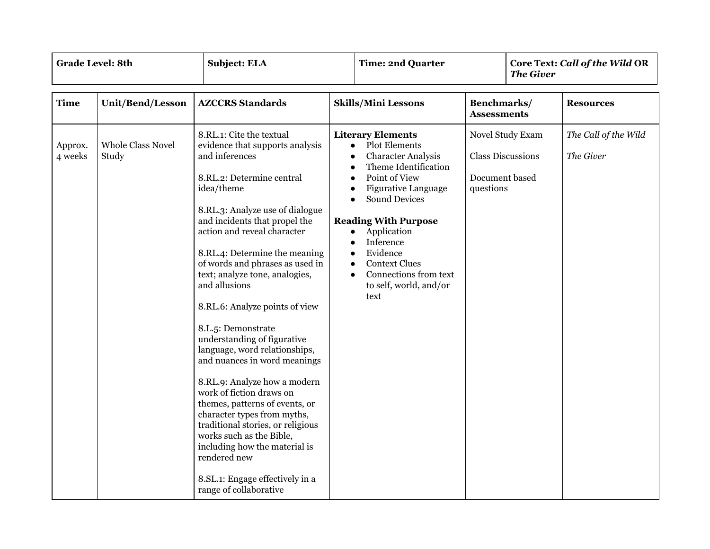| <b>Grade Level: 8th</b> |                                   | <b>Subject: ELA</b><br><b>Time: 2nd Quarter</b><br><b>The Giver</b>                                                                                                                                                                                                                                                                                                                                                                                                                                                                                                                                                                                                                                                                                                                                                    |                                                                            | Core Text: Call of the Wild OR                                                                                                                                                                                                                                                                                                               |                                                                             |  |                                   |
|-------------------------|-----------------------------------|------------------------------------------------------------------------------------------------------------------------------------------------------------------------------------------------------------------------------------------------------------------------------------------------------------------------------------------------------------------------------------------------------------------------------------------------------------------------------------------------------------------------------------------------------------------------------------------------------------------------------------------------------------------------------------------------------------------------------------------------------------------------------------------------------------------------|----------------------------------------------------------------------------|----------------------------------------------------------------------------------------------------------------------------------------------------------------------------------------------------------------------------------------------------------------------------------------------------------------------------------------------|-----------------------------------------------------------------------------|--|-----------------------------------|
| <b>Time</b>             | <b>Unit/Bend/Lesson</b>           | <b>AZCCRS</b> Standards                                                                                                                                                                                                                                                                                                                                                                                                                                                                                                                                                                                                                                                                                                                                                                                                |                                                                            | <b>Skills/Mini Lessons</b>                                                                                                                                                                                                                                                                                                                   | Benchmarks/<br><b>Assessments</b>                                           |  | <b>Resources</b>                  |
| Approx.<br>4 weeks      | <b>Whole Class Novel</b><br>Study | 8.RL.1: Cite the textual<br>evidence that supports analysis<br>and inferences<br>8.RL.2: Determine central<br>idea/theme<br>8.RL.3: Analyze use of dialogue<br>and incidents that propel the<br>action and reveal character<br>8.RL.4: Determine the meaning<br>of words and phrases as used in<br>text; analyze tone, analogies,<br>and allusions<br>8.RL.6: Analyze points of view<br>8.L.5: Demonstrate<br>understanding of figurative<br>language, word relationships,<br>and nuances in word meanings<br>8.RL.9: Analyze how a modern<br>work of fiction draws on<br>themes, patterns of events, or<br>character types from myths,<br>traditional stories, or religious<br>works such as the Bible,<br>including how the material is<br>rendered new<br>8.SL.1: Engage effectively in a<br>range of collaborative | $\bullet$<br>$\bullet$<br>$\bullet$<br>$\bullet$<br>$\bullet$<br>$\bullet$ | <b>Literary Elements</b><br><b>Plot Elements</b><br>$\bullet$<br><b>Character Analysis</b><br>Theme Identification<br>Point of View<br>Figurative Language<br><b>Sound Devices</b><br><b>Reading With Purpose</b><br>Application<br>Inference<br>Evidence<br><b>Context Clues</b><br>Connections from text<br>to self, world, and/or<br>text | Novel Study Exam<br><b>Class Discussions</b><br>Document based<br>questions |  | The Call of the Wild<br>The Giver |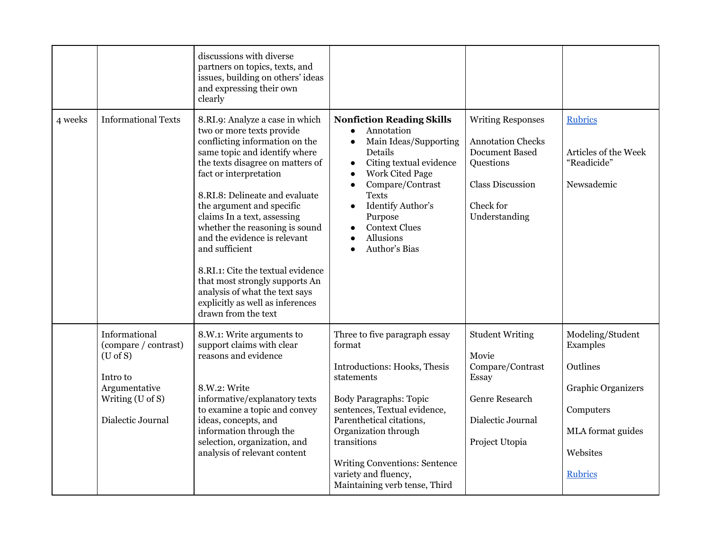|         |                                                                                                                                | discussions with diverse<br>partners on topics, texts, and<br>issues, building on others' ideas<br>and expressing their own<br>clearly                                                                                                                                                                                                                                                                                                                                                                                                              |                                                                                                                                                                                                                                                                                                                                                              |                                                                                                                                                     |                                                                                                                                |
|---------|--------------------------------------------------------------------------------------------------------------------------------|-----------------------------------------------------------------------------------------------------------------------------------------------------------------------------------------------------------------------------------------------------------------------------------------------------------------------------------------------------------------------------------------------------------------------------------------------------------------------------------------------------------------------------------------------------|--------------------------------------------------------------------------------------------------------------------------------------------------------------------------------------------------------------------------------------------------------------------------------------------------------------------------------------------------------------|-----------------------------------------------------------------------------------------------------------------------------------------------------|--------------------------------------------------------------------------------------------------------------------------------|
| 4 weeks | <b>Informational Texts</b>                                                                                                     | 8.RI.9: Analyze a case in which<br>two or more texts provide<br>conflicting information on the<br>same topic and identify where<br>the texts disagree on matters of<br>fact or interpretation<br>8.RI.8: Delineate and evaluate<br>the argument and specific<br>claims In a text, assessing<br>whether the reasoning is sound<br>and the evidence is relevant<br>and sufficient<br>8.RI.1: Cite the textual evidence<br>that most strongly supports An<br>analysis of what the text says<br>explicitly as well as inferences<br>drawn from the text | <b>Nonfiction Reading Skills</b><br>Annotation<br>$\bullet$<br>Main Ideas/Supporting<br>$\bullet$<br>Details<br>Citing textual evidence<br>$\bullet$<br><b>Work Cited Page</b><br>$\bullet$<br>Compare/Contrast<br>$\bullet$<br><b>Texts</b><br>Identify Author's<br>$\bullet$<br>Purpose<br><b>Context Clues</b><br>$\bullet$<br>Allusions<br>Author's Bias | <b>Writing Responses</b><br><b>Annotation Checks</b><br><b>Document Based</b><br>Questions<br><b>Class Discussion</b><br>Check for<br>Understanding | <b>Rubrics</b><br>Articles of the Week<br>"Readicide"<br>Newsademic                                                            |
|         | Informational<br>(compare / contrast)<br>$(U \circ f S)$<br>Intro to<br>Argumentative<br>Writing (U of S)<br>Dialectic Journal | 8.W.1: Write arguments to<br>support claims with clear<br>reasons and evidence<br>8.W.2: Write<br>informative/explanatory texts<br>to examine a topic and convey<br>ideas, concepts, and<br>information through the<br>selection, organization, and<br>analysis of relevant content                                                                                                                                                                                                                                                                 | Three to five paragraph essay<br>format<br>Introductions: Hooks, Thesis<br>statements<br><b>Body Paragraphs: Topic</b><br>sentences, Textual evidence,<br>Parenthetical citations,<br>Organization through<br>transitions<br><b>Writing Conventions: Sentence</b><br>variety and fluency,<br>Maintaining verb tense, Third                                   | <b>Student Writing</b><br>Movie<br>Compare/Contrast<br>Essay<br><b>Genre Research</b><br>Dialectic Journal<br>Project Utopia                        | Modeling/Student<br>Examples<br>Outlines<br>Graphic Organizers<br>Computers<br>MLA format guides<br>Websites<br><b>Rubrics</b> |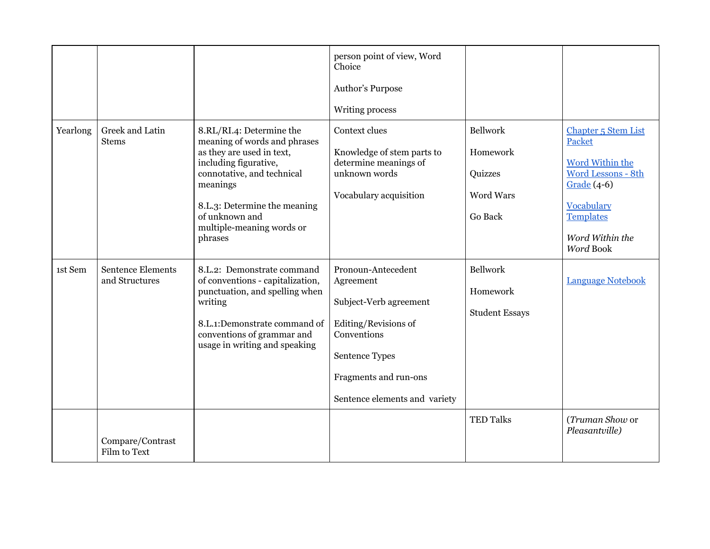|          |                                            |                                                                                                                                                                                                                                                    | person point of view, Word<br>Choice<br>Author's Purpose<br>Writing process                                                                                                  |                                                                |                                                                                                                                                                  |
|----------|--------------------------------------------|----------------------------------------------------------------------------------------------------------------------------------------------------------------------------------------------------------------------------------------------------|------------------------------------------------------------------------------------------------------------------------------------------------------------------------------|----------------------------------------------------------------|------------------------------------------------------------------------------------------------------------------------------------------------------------------|
| Yearlong | Greek and Latin<br><b>Stems</b>            | 8.RL/RI.4: Determine the<br>meaning of words and phrases<br>as they are used in text,<br>including figurative,<br>connotative, and technical<br>meanings<br>8.L.3: Determine the meaning<br>of unknown and<br>multiple-meaning words or<br>phrases | Context clues<br>Knowledge of stem parts to<br>determine meanings of<br>unknown words<br>Vocabulary acquisition                                                              | <b>Bellwork</b><br>Homework<br>Quizzes<br>Word Wars<br>Go Back | Chapter 5 Stem List<br>Packet<br><b>Word Within the</b><br>Word Lessons - 8th<br>Grade $(4-6)$<br>Vocabulary<br><b>Templates</b><br>Word Within the<br>Word Book |
| 1st Sem  | <b>Sentence Elements</b><br>and Structures | 8.L.2: Demonstrate command<br>of conventions - capitalization,<br>punctuation, and spelling when<br>writing<br>8.L.1:Demonstrate command of<br>conventions of grammar and<br>usage in writing and speaking                                         | Pronoun-Antecedent<br>Agreement<br>Subject-Verb agreement<br>Editing/Revisions of<br>Conventions<br>Sentence Types<br>Fragments and run-ons<br>Sentence elements and variety | <b>Bellwork</b><br>Homework<br><b>Student Essays</b>           | <b>Language Notebook</b>                                                                                                                                         |
|          | Compare/Contrast<br>Film to Text           |                                                                                                                                                                                                                                                    |                                                                                                                                                                              | <b>TED Talks</b>                                               | (Truman Show or<br>Pleasantville)                                                                                                                                |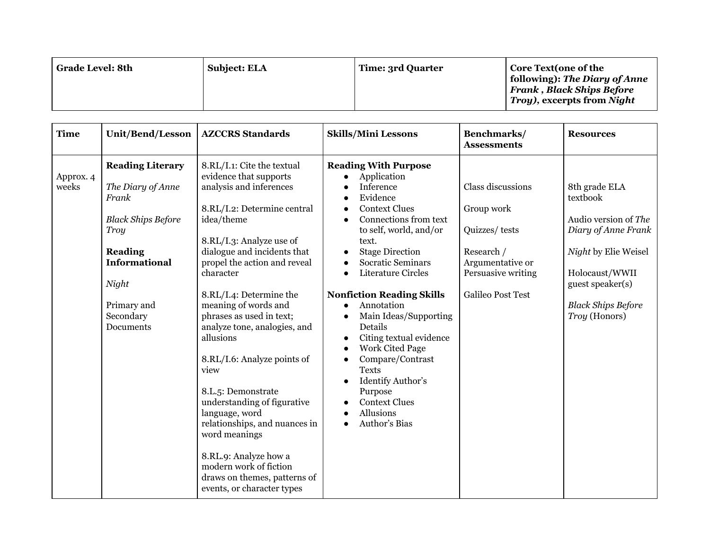| Grade Level: 8th | <b>Subject: ELA</b> | Time: 3rd Quarter | <b>Core Text(one of the</b><br>following): The Diary of Anne<br><b>Frank, Black Ships Before</b><br><i>Troy), excerpts from Night</i> |
|------------------|---------------------|-------------------|---------------------------------------------------------------------------------------------------------------------------------------|
|------------------|---------------------|-------------------|---------------------------------------------------------------------------------------------------------------------------------------|

| <b>Time</b>        | Unit/Bend/Lesson                                                                                                                                                                                     | <b>AZCCRS</b> Standards                                                                                                                                                                                                                                                                                                                                                                                                                                                                                                                                                                                                                                        | <b>Skills/Mini Lessons</b>                                                                                                                                                                                                                                                                                                                                                                                                                                                                                                                                                       | Benchmarks/<br><b>Assessments</b>                                                                                                    | <b>Resources</b>                                                                                                                                                                     |
|--------------------|------------------------------------------------------------------------------------------------------------------------------------------------------------------------------------------------------|----------------------------------------------------------------------------------------------------------------------------------------------------------------------------------------------------------------------------------------------------------------------------------------------------------------------------------------------------------------------------------------------------------------------------------------------------------------------------------------------------------------------------------------------------------------------------------------------------------------------------------------------------------------|----------------------------------------------------------------------------------------------------------------------------------------------------------------------------------------------------------------------------------------------------------------------------------------------------------------------------------------------------------------------------------------------------------------------------------------------------------------------------------------------------------------------------------------------------------------------------------|--------------------------------------------------------------------------------------------------------------------------------------|--------------------------------------------------------------------------------------------------------------------------------------------------------------------------------------|
| Approx. 4<br>weeks | <b>Reading Literary</b><br>The Diary of Anne<br>Frank<br><b>Black Ships Before</b><br><b>Troy</b><br><b>Reading</b><br><b>Informational</b><br>Night<br>Primary and<br>Secondary<br><b>Documents</b> | 8.RL/I.1: Cite the textual<br>evidence that supports<br>analysis and inferences<br>8.RL/I.2: Determine central<br>idea/theme<br>8.RL/I.3: Analyze use of<br>dialogue and incidents that<br>propel the action and reveal<br>character<br>8.RL/I.4: Determine the<br>meaning of words and<br>phrases as used in text;<br>analyze tone, analogies, and<br>allusions<br>8.RL/I.6: Analyze points of<br>view<br>8.L. <sub>5</sub> : Demonstrate<br>understanding of figurative<br>language, word<br>relationships, and nuances in<br>word meanings<br>8.RL.9: Analyze how a<br>modern work of fiction<br>draws on themes, patterns of<br>events, or character types | <b>Reading With Purpose</b><br>Application<br>Inference<br>Evidence<br><b>Context Clues</b><br>Connections from text<br>to self, world, and/or<br>text.<br><b>Stage Direction</b><br><b>Socratic Seminars</b><br>$\bullet$<br>Literature Circles<br>$\bullet$<br><b>Nonfiction Reading Skills</b><br>Annotation<br>$\bullet$<br>Main Ideas/Supporting<br>Details<br>Citing textual evidence<br>$\bullet$<br><b>Work Cited Page</b><br>Compare/Contrast<br>$\bullet$<br><b>Texts</b><br>Identify Author's<br>Purpose<br><b>Context Clues</b><br><b>Allusions</b><br>Author's Bias | Class discussions<br>Group work<br>Quizzes/tests<br>Research /<br>Argumentative or<br>Persuasive writing<br><b>Galileo Post Test</b> | 8th grade ELA<br>textbook<br>Audio version of The<br>Diary of Anne Frank<br>Night by Elie Weisel<br>Holocaust/WWII<br>guest speaker(s)<br><b>Black Ships Before</b><br>Troy (Honors) |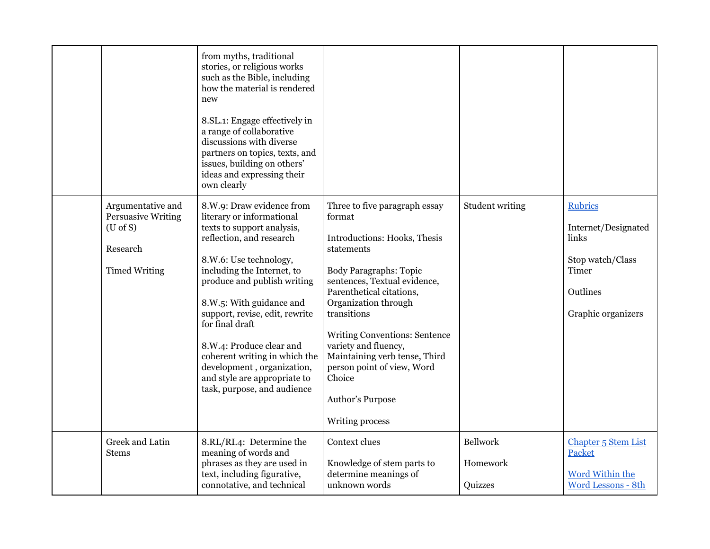|                                                                                                       | from myths, traditional<br>stories, or religious works<br>such as the Bible, including<br>how the material is rendered<br>new<br>8.SL.1: Engage effectively in<br>a range of collaborative<br>discussions with diverse<br>partners on topics, texts, and<br>issues, building on others'<br>ideas and expressing their<br>own clearly                                                                                                               |                                                                                                                                                                                                                                                                                                                                                                                                           |                                 |                                                                                                               |
|-------------------------------------------------------------------------------------------------------|----------------------------------------------------------------------------------------------------------------------------------------------------------------------------------------------------------------------------------------------------------------------------------------------------------------------------------------------------------------------------------------------------------------------------------------------------|-----------------------------------------------------------------------------------------------------------------------------------------------------------------------------------------------------------------------------------------------------------------------------------------------------------------------------------------------------------------------------------------------------------|---------------------------------|---------------------------------------------------------------------------------------------------------------|
| Argumentative and<br><b>Persuasive Writing</b><br>$(U \circ f S)$<br>Research<br><b>Timed Writing</b> | 8.W.9: Draw evidence from<br>literary or informational<br>texts to support analysis,<br>reflection, and research<br>8.W.6: Use technology,<br>including the Internet, to<br>produce and publish writing<br>8.W.5: With guidance and<br>support, revise, edit, rewrite<br>for final draft<br>8.W.4: Produce clear and<br>coherent writing in which the<br>development, organization,<br>and style are appropriate to<br>task, purpose, and audience | Three to five paragraph essay<br>format<br>Introductions: Hooks, Thesis<br>statements<br><b>Body Paragraphs: Topic</b><br>sentences, Textual evidence,<br>Parenthetical citations,<br>Organization through<br>transitions<br><b>Writing Conventions: Sentence</b><br>variety and fluency,<br>Maintaining verb tense, Third<br>person point of view, Word<br>Choice<br>Author's Purpose<br>Writing process | Student writing                 | <b>Rubrics</b><br>Internet/Designated<br>links<br>Stop watch/Class<br>Timer<br>Outlines<br>Graphic organizers |
| <b>Greek and Latin</b><br>Stems                                                                       | 8.RL/RI.4: Determine the<br>meaning of words and<br>phrases as they are used in<br>text, including figurative,<br>connotative, and technical                                                                                                                                                                                                                                                                                                       | Context clues<br>Knowledge of stem parts to<br>determine meanings of<br>unknown words                                                                                                                                                                                                                                                                                                                     | Bellwork<br>Homework<br>Quizzes | Chapter 5 Stem List<br>Packet<br><b>Word Within the</b><br>Word Lessons - 8th                                 |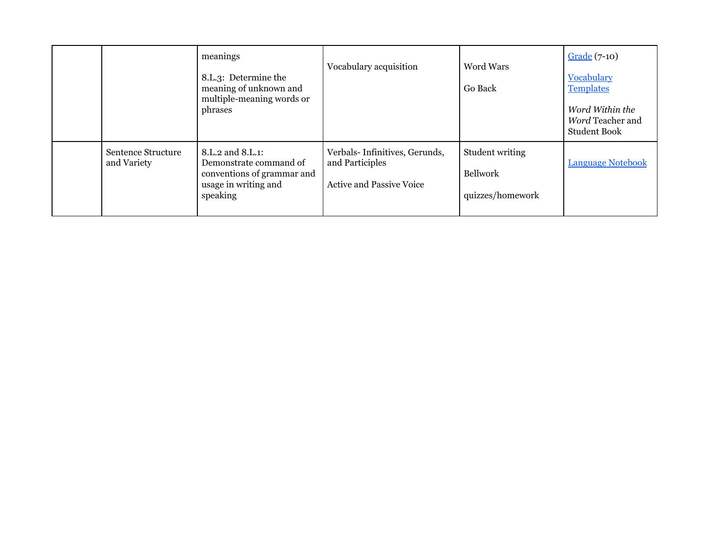|                                   | meanings<br>8.L.3: Determine the<br>meaning of unknown and<br>multiple-meaning words or<br>phrases           | Vocabulary acquisition                                                              | <b>Word Wars</b><br><b>Go Back</b>                     | Grade (7-10)<br>Vocabulary<br><b>Templates</b><br>Word Within the<br>Word Teacher and<br><b>Student Book</b> |
|-----------------------------------|--------------------------------------------------------------------------------------------------------------|-------------------------------------------------------------------------------------|--------------------------------------------------------|--------------------------------------------------------------------------------------------------------------|
| Sentence Structure<br>and Variety | 8.L.2 and 8.L.1:<br>Demonstrate command of<br>conventions of grammar and<br>usage in writing and<br>speaking | Verbals-Infinitives, Gerunds,<br>and Participles<br><b>Active and Passive Voice</b> | Student writing<br><b>Bellwork</b><br>quizzes/homework | <b>Language Notebook</b>                                                                                     |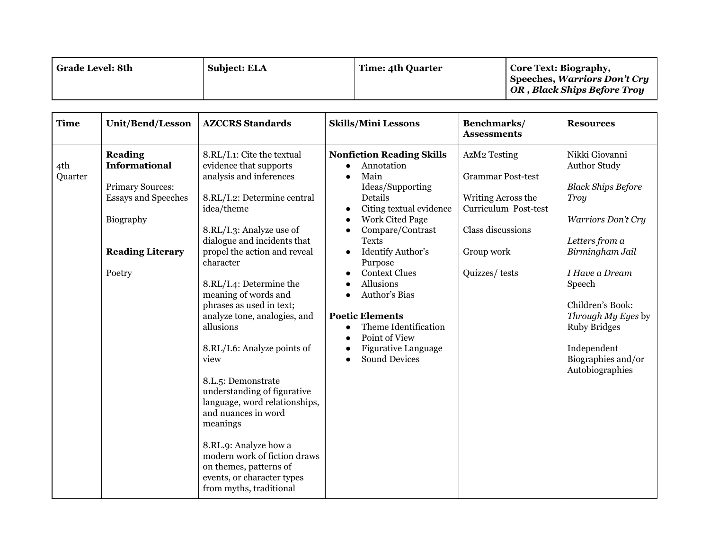| <b>Grade Level: 8th</b> | <b>Subject: ELA</b> | Time: 4th Quarter | Core Text: Biography,<br>Speeches, Warriors Don't Cry<br>OR, Black Ships Before Troy |
|-------------------------|---------------------|-------------------|--------------------------------------------------------------------------------------|
|-------------------------|---------------------|-------------------|--------------------------------------------------------------------------------------|

| <b>Time</b>    | <b>Unit/Bend/Lesson</b>                                                                                                                           | <b>AZCCRS</b> Standards                                                                                                                                                                                                                                                                                                                                                                                                                                                                                                                                                                                                                                                      | <b>Skills/Mini Lessons</b>                                                                                                                                                                                                                                                                                                                                                                                                                                                                                                                   | Benchmarks/<br><b>Assessments</b>                                                                                                          | <b>Resources</b>                                                                                                                                                                                                                                                                           |
|----------------|---------------------------------------------------------------------------------------------------------------------------------------------------|------------------------------------------------------------------------------------------------------------------------------------------------------------------------------------------------------------------------------------------------------------------------------------------------------------------------------------------------------------------------------------------------------------------------------------------------------------------------------------------------------------------------------------------------------------------------------------------------------------------------------------------------------------------------------|----------------------------------------------------------------------------------------------------------------------------------------------------------------------------------------------------------------------------------------------------------------------------------------------------------------------------------------------------------------------------------------------------------------------------------------------------------------------------------------------------------------------------------------------|--------------------------------------------------------------------------------------------------------------------------------------------|--------------------------------------------------------------------------------------------------------------------------------------------------------------------------------------------------------------------------------------------------------------------------------------------|
| 4th<br>Quarter | <b>Reading</b><br><b>Informational</b><br><b>Primary Sources:</b><br><b>Essays and Speeches</b><br>Biography<br><b>Reading Literary</b><br>Poetry | 8.RL/I.1: Cite the textual<br>evidence that supports<br>analysis and inferences<br>8.RL/I.2: Determine central<br>idea/theme<br>8.RL/I.3: Analyze use of<br>dialogue and incidents that<br>propel the action and reveal<br>character<br>8.RL/I.4: Determine the<br>meaning of words and<br>phrases as used in text;<br>analyze tone, analogies, and<br>allusions<br>8.RL/I.6: Analyze points of<br>view<br>8.L.5: Demonstrate<br>understanding of figurative<br>language, word relationships,<br>and nuances in word<br>meanings<br>8.RL.9: Analyze how a<br>modern work of fiction draws<br>on themes, patterns of<br>events, or character types<br>from myths, traditional | <b>Nonfiction Reading Skills</b><br>Annotation<br>Main<br>$\bullet$<br>Ideas/Supporting<br>Details<br>Citing textual evidence<br>$\bullet$<br><b>Work Cited Page</b><br>$\bullet$<br>Compare/Contrast<br>$\bullet$<br><b>Texts</b><br>Identify Author's<br>$\bullet$<br>Purpose<br><b>Context Clues</b><br>$\bullet$<br><b>Allusions</b><br>Author's Bias<br>$\bullet$<br><b>Poetic Elements</b><br>Theme Identification<br>$\bullet$<br>Point of View<br>$\bullet$<br>Figurative Language<br>$\bullet$<br><b>Sound Devices</b><br>$\bullet$ | AzM2 Testing<br><b>Grammar Post-test</b><br>Writing Across the<br>Curriculum Post-test<br>Class discussions<br>Group work<br>Quizzes/tests | Nikki Giovanni<br><b>Author Study</b><br><b>Black Ships Before</b><br>Troy<br>Warriors Don't Cry<br>Letters from a<br>Birmingham Jail<br>I Have a Dream<br>Speech<br>Children's Book:<br>Through My Eyes by<br><b>Ruby Bridges</b><br>Independent<br>Biographies and/or<br>Autobiographies |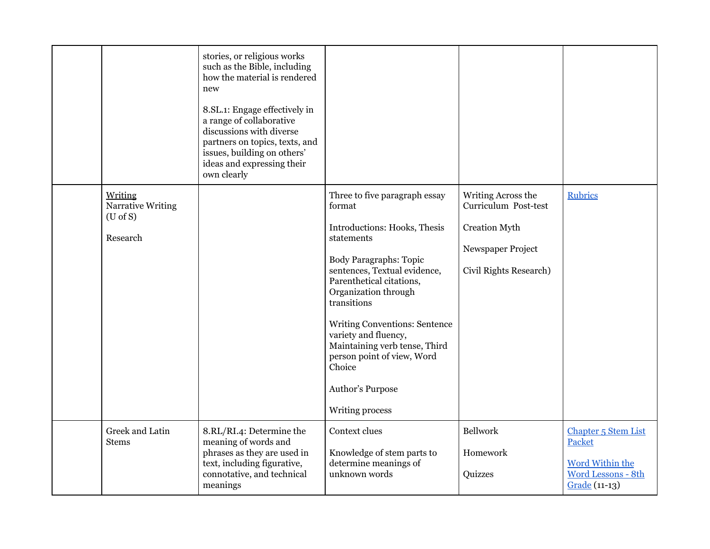|                                                                    | stories, or religious works<br>such as the Bible, including<br>how the material is rendered<br>new<br>8.SL.1: Engage effectively in<br>a range of collaborative<br>discussions with diverse<br>partners on topics, texts, and<br>issues, building on others'<br>ideas and expressing their<br>own clearly |                                                                                                                                                                                                                                                                                                                                                                                                           |                                                                                                                   |                                                                                                |
|--------------------------------------------------------------------|-----------------------------------------------------------------------------------------------------------------------------------------------------------------------------------------------------------------------------------------------------------------------------------------------------------|-----------------------------------------------------------------------------------------------------------------------------------------------------------------------------------------------------------------------------------------------------------------------------------------------------------------------------------------------------------------------------------------------------------|-------------------------------------------------------------------------------------------------------------------|------------------------------------------------------------------------------------------------|
| Writing<br><b>Narrative Writing</b><br>$(U \circ f S)$<br>Research |                                                                                                                                                                                                                                                                                                           | Three to five paragraph essay<br>format<br>Introductions: Hooks, Thesis<br>statements<br><b>Body Paragraphs: Topic</b><br>sentences, Textual evidence,<br>Parenthetical citations,<br>Organization through<br>transitions<br><b>Writing Conventions: Sentence</b><br>variety and fluency,<br>Maintaining verb tense, Third<br>person point of view, Word<br>Choice<br>Author's Purpose<br>Writing process | Writing Across the<br>Curriculum Post-test<br><b>Creation Myth</b><br>Newspaper Project<br>Civil Rights Research) | <b>Rubrics</b>                                                                                 |
| Greek and Latin<br><b>Stems</b>                                    | 8.RL/RI.4: Determine the<br>meaning of words and<br>phrases as they are used in<br>text, including figurative,<br>connotative, and technical<br>meanings                                                                                                                                                  | Context clues<br>Knowledge of stem parts to<br>determine meanings of<br>unknown words                                                                                                                                                                                                                                                                                                                     | <b>Bellwork</b><br>Homework<br>Quizzes                                                                            | Chapter 5 Stem List<br>Packet<br><b>Word Within the</b><br>Word Lessons - 8th<br>Grade (11-13) |